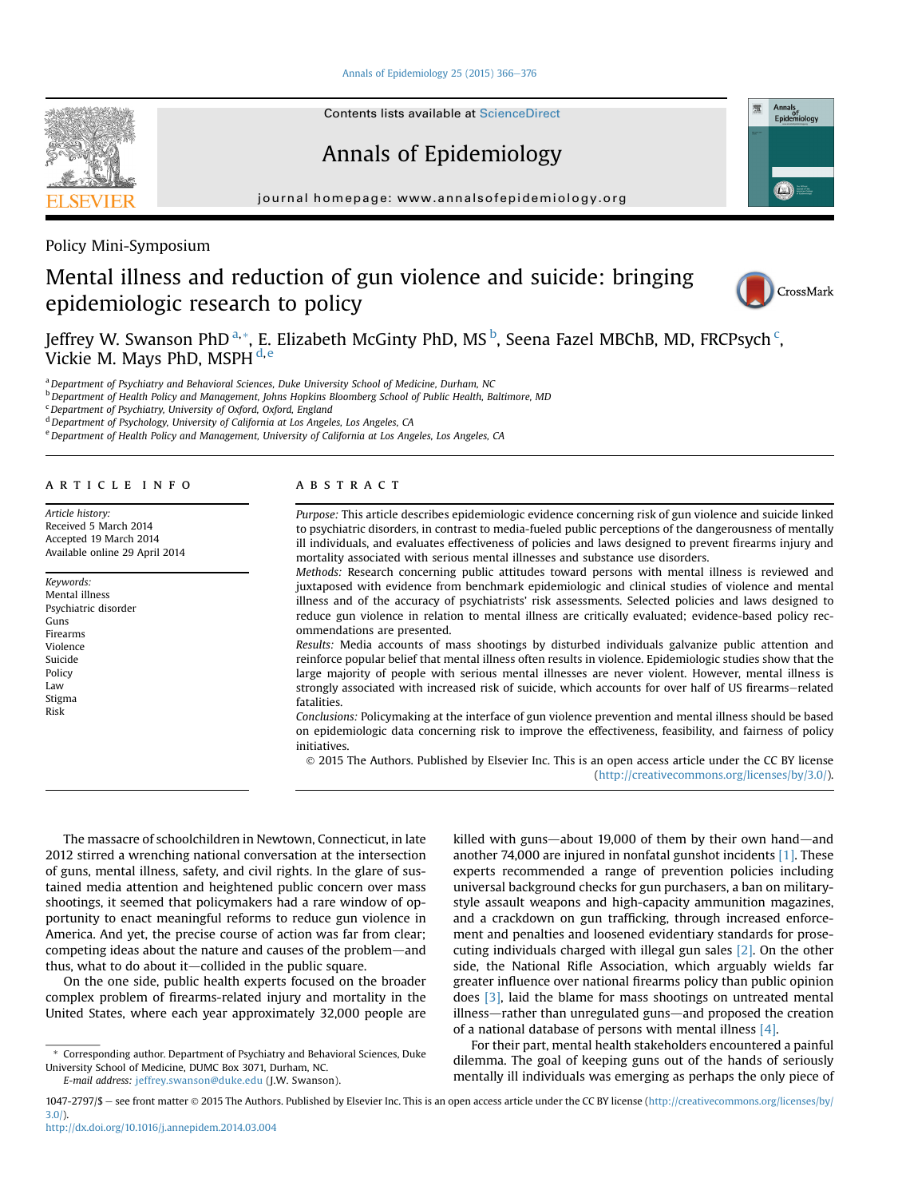[Annals of Epidemiology 25 \(2015\) 366](http://dx.doi.org/10.1016/j.annepidem.2014.03.004)-[376](http://dx.doi.org/10.1016/j.annepidem.2014.03.004)

Contents lists available at [ScienceDirect](www.sciencedirect.com/science/journal/10472797)

# Annals of Epidemiology

journal homepage: [www.annalsofepidemiology.org](http://www.annalsofepidemiology.org)

Policy Mini-Symposium

# Mental illness and reduction of gun violence and suicide: bringing epidemiologic research to policy

Jeffrey W. Swanson PhD  $^\mathrm{a},\mathrm{*},$  E. Elizabeth McGinty PhD, MS  $^\mathrm{b}$ , Seena Fazel MBChB, MD, FRCPsych  $^\mathrm{c}$ , Vickie M. Mays PhD, MSPH d,e

a Department of Psychiatry and Behavioral Sciences, Duke University School of Medicine, Durham, NC

b Department of Health Policy and Management, Johns Hopkins Bloomberg School of Public Health, Baltimore, MD

 $c$  Department of Psychiatry, University of Oxford, Oxford, England

<sup>d</sup> Department of Psychology, University of California at Los Angeles, Los Angeles, CA

e Department of Health Policy and Management, University of California at Los Angeles, Los Angeles, CA

#### article info

Article history: Received 5 March 2014 Accepted 19 March 2014 Available online 29 April 2014

Keywords: Mental illness Psychiatric disorder Guns Firearms Violence Suicide Policy Law Stigma Risk

## **ABSTRACT**

Purpose: This article describes epidemiologic evidence concerning risk of gun violence and suicide linked to psychiatric disorders, in contrast to media-fueled public perceptions of the dangerousness of mentally ill individuals, and evaluates effectiveness of policies and laws designed to prevent firearms injury and mortality associated with serious mental illnesses and substance use disorders.

Methods: Research concerning public attitudes toward persons with mental illness is reviewed and juxtaposed with evidence from benchmark epidemiologic and clinical studies of violence and mental illness and of the accuracy of psychiatrists' risk assessments. Selected policies and laws designed to reduce gun violence in relation to mental illness are critically evaluated; evidence-based policy recommendations are presented.

Results: Media accounts of mass shootings by disturbed individuals galvanize public attention and reinforce popular belief that mental illness often results in violence. Epidemiologic studies show that the large majority of people with serious mental illnesses are never violent. However, mental illness is strongly associated with increased risk of suicide, which accounts for over half of US firearms-related fatalities.

Conclusions: Policymaking at the interface of gun violence prevention and mental illness should be based on epidemiologic data concerning risk to improve the effectiveness, feasibility, and fairness of policy initiatives.

 2015 The Authors. Published by Elsevier Inc. This is an open access article under the CC BY license ([http://creativecommons.org/licenses/by/3.0/](http://creativecommons.org/licenses/by/3.�0/)).

The massacre of schoolchildren in Newtown, Connecticut, in late 2012 stirred a wrenching national conversation at the intersection of guns, mental illness, safety, and civil rights. In the glare of sustained media attention and heightened public concern over mass shootings, it seemed that policymakers had a rare window of opportunity to enact meaningful reforms to reduce gun violence in America. And yet, the precise course of action was far from clear; competing ideas about the nature and causes of the problem—and thus, what to do about it-collided in the public square.

On the one side, public health experts focused on the broader complex problem of firearms-related injury and mortality in the United States, where each year approximately 32,000 people are

E-mail address: [jeffrey.swanson@duke.edu](mailto:jeffrey.swanson@duke.edu) (J.W. Swanson).

killed with guns-about 19,000 of them by their own hand-and another 74,000 are injured in nonfatal gunshot incidents [\[1\].](#page-9-0) These experts recommended a range of prevention policies including universal background checks for gun purchasers, a ban on militarystyle assault weapons and high-capacity ammunition magazines, and a crackdown on gun trafficking, through increased enforcement and penalties and loosened evidentiary standards for prosecuting individuals charged with illegal gun sales [\[2\].](#page-9-0) On the other side, the National Rifle Association, which arguably wields far greater influence over national firearms policy than public opinion does [\[3\]](#page-9-0), laid the blame for mass shootings on untreated mental illness—rather than unregulated guns—and proposed the creation of a national database of persons with mental illness [\[4\]](#page-9-0).

For their part, mental health stakeholders encountered a painful dilemma. The goal of keeping guns out of the hands of seriously mentally ill individuals was emerging as perhaps the only piece of

<http://dx.doi.org/10.1016/j.annepidem.2014.03.004>





CrossMark

<sup>\*</sup> Corresponding author. Department of Psychiatry and Behavioral Sciences, Duke University School of Medicine, DUMC Box 3071, Durham, NC.

<sup>1047-2797/\$ -</sup> see front matter © 2015 The Authors. Published by Elsevier Inc. This is an open access article under the CC BY license [\(http://creativecommons.org/licenses/by/](http://creativecommons.org/licenses/by/3.�0/) [3.0/\)](http://creativecommons.org/licenses/by/3.�0/).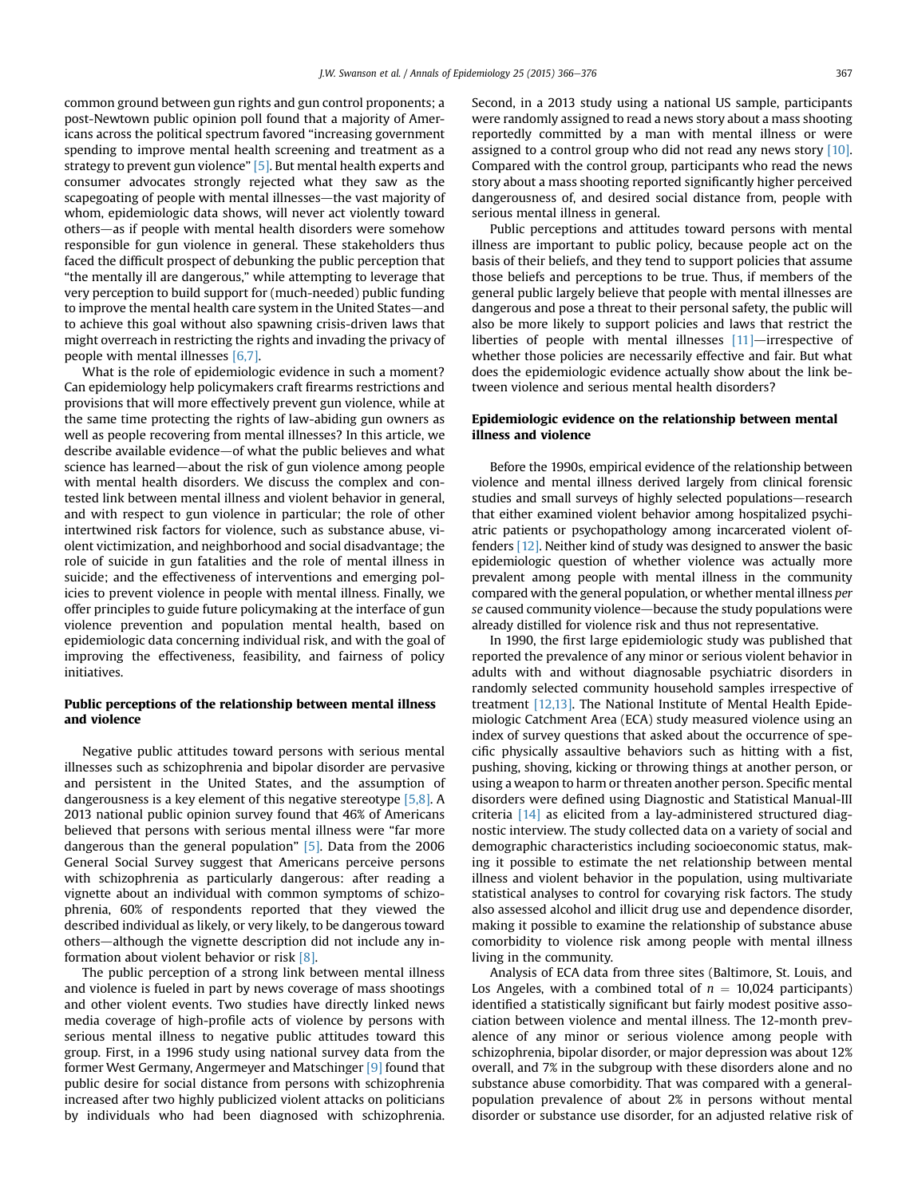common ground between gun rights and gun control proponents; a post-Newtown public opinion poll found that a majority of Americans across the political spectrum favored "increasing government spending to improve mental health screening and treatment as a strategy to prevent gun violence" [\[5\]](#page-9-0). But mental health experts and consumer advocates strongly rejected what they saw as the scapegoating of people with mental illnesses—the vast majority of whom, epidemiologic data shows, will never act violently toward others—as if people with mental health disorders were somehow responsible for gun violence in general. These stakeholders thus faced the difficult prospect of debunking the public perception that "the mentally ill are dangerous," while attempting to leverage that very perception to build support for (much-needed) public funding to improve the mental health care system in the United States-and to achieve this goal without also spawning crisis-driven laws that might overreach in restricting the rights and invading the privacy of people with mental illnesses [\[6,7\].](#page-9-0)

What is the role of epidemiologic evidence in such a moment? Can epidemiology help policymakers craft firearms restrictions and provisions that will more effectively prevent gun violence, while at the same time protecting the rights of law-abiding gun owners as well as people recovering from mental illnesses? In this article, we describe available evidence—of what the public believes and what science has learned—about the risk of gun violence among people with mental health disorders. We discuss the complex and contested link between mental illness and violent behavior in general, and with respect to gun violence in particular; the role of other intertwined risk factors for violence, such as substance abuse, violent victimization, and neighborhood and social disadvantage; the role of suicide in gun fatalities and the role of mental illness in suicide; and the effectiveness of interventions and emerging policies to prevent violence in people with mental illness. Finally, we offer principles to guide future policymaking at the interface of gun violence prevention and population mental health, based on epidemiologic data concerning individual risk, and with the goal of improving the effectiveness, feasibility, and fairness of policy initiatives.

## Public perceptions of the relationship between mental illness and violence

Negative public attitudes toward persons with serious mental illnesses such as schizophrenia and bipolar disorder are pervasive and persistent in the United States, and the assumption of dangerousness is a key element of this negative stereotype [\[5,8\].](#page-9-0) A 2013 national public opinion survey found that 46% of Americans believed that persons with serious mental illness were "far more dangerous than the general population" [\[5\].](#page-9-0) Data from the 2006 General Social Survey suggest that Americans perceive persons with schizophrenia as particularly dangerous: after reading a vignette about an individual with common symptoms of schizophrenia, 60% of respondents reported that they viewed the described individual as likely, or very likely, to be dangerous toward others-although the vignette description did not include any information about violent behavior or risk [\[8\]](#page-9-0).

The public perception of a strong link between mental illness and violence is fueled in part by news coverage of mass shootings and other violent events. Two studies have directly linked news media coverage of high-profile acts of violence by persons with serious mental illness to negative public attitudes toward this group. First, in a 1996 study using national survey data from the former West Germany, Angermeyer and Matschinger [\[9\]](#page-9-0) found that public desire for social distance from persons with schizophrenia increased after two highly publicized violent attacks on politicians by individuals who had been diagnosed with schizophrenia. Second, in a 2013 study using a national US sample, participants were randomly assigned to read a news story about a mass shooting reportedly committed by a man with mental illness or were assigned to a control group who did not read any news story [\[10\].](#page-9-0) Compared with the control group, participants who read the news story about a mass shooting reported significantly higher perceived dangerousness of, and desired social distance from, people with serious mental illness in general.

Public perceptions and attitudes toward persons with mental illness are important to public policy, because people act on the basis of their beliefs, and they tend to support policies that assume those beliefs and perceptions to be true. Thus, if members of the general public largely believe that people with mental illnesses are dangerous and pose a threat to their personal safety, the public will also be more likely to support policies and laws that restrict the liberties of people with mental illnesses  $[11]$ -irrespective of whether those policies are necessarily effective and fair. But what does the epidemiologic evidence actually show about the link between violence and serious mental health disorders?

### Epidemiologic evidence on the relationship between mental illness and violence

Before the 1990s, empirical evidence of the relationship between violence and mental illness derived largely from clinical forensic studies and small surveys of highly selected populations-research that either examined violent behavior among hospitalized psychiatric patients or psychopathology among incarcerated violent offenders [\[12\].](#page-9-0) Neither kind of study was designed to answer the basic epidemiologic question of whether violence was actually more prevalent among people with mental illness in the community compared with the general population, or whether mental illness per se caused community violence—because the study populations were already distilled for violence risk and thus not representative.

In 1990, the first large epidemiologic study was published that reported the prevalence of any minor or serious violent behavior in adults with and without diagnosable psychiatric disorders in randomly selected community household samples irrespective of treatment [\[12,13\]](#page-9-0). The National Institute of Mental Health Epidemiologic Catchment Area (ECA) study measured violence using an index of survey questions that asked about the occurrence of specific physically assaultive behaviors such as hitting with a fist, pushing, shoving, kicking or throwing things at another person, or using a weapon to harm or threaten another person. Specific mental disorders were defined using Diagnostic and Statistical Manual-III criteria [\[14\]](#page-9-0) as elicited from a lay-administered structured diagnostic interview. The study collected data on a variety of social and demographic characteristics including socioeconomic status, making it possible to estimate the net relationship between mental illness and violent behavior in the population, using multivariate statistical analyses to control for covarying risk factors. The study also assessed alcohol and illicit drug use and dependence disorder, making it possible to examine the relationship of substance abuse comorbidity to violence risk among people with mental illness living in the community.

Analysis of ECA data from three sites (Baltimore, St. Louis, and Los Angeles, with a combined total of  $n = 10,024$  participants) identified a statistically significant but fairly modest positive association between violence and mental illness. The 12-month prevalence of any minor or serious violence among people with schizophrenia, bipolar disorder, or major depression was about 12% overall, and 7% in the subgroup with these disorders alone and no substance abuse comorbidity. That was compared with a generalpopulation prevalence of about 2% in persons without mental disorder or substance use disorder, for an adjusted relative risk of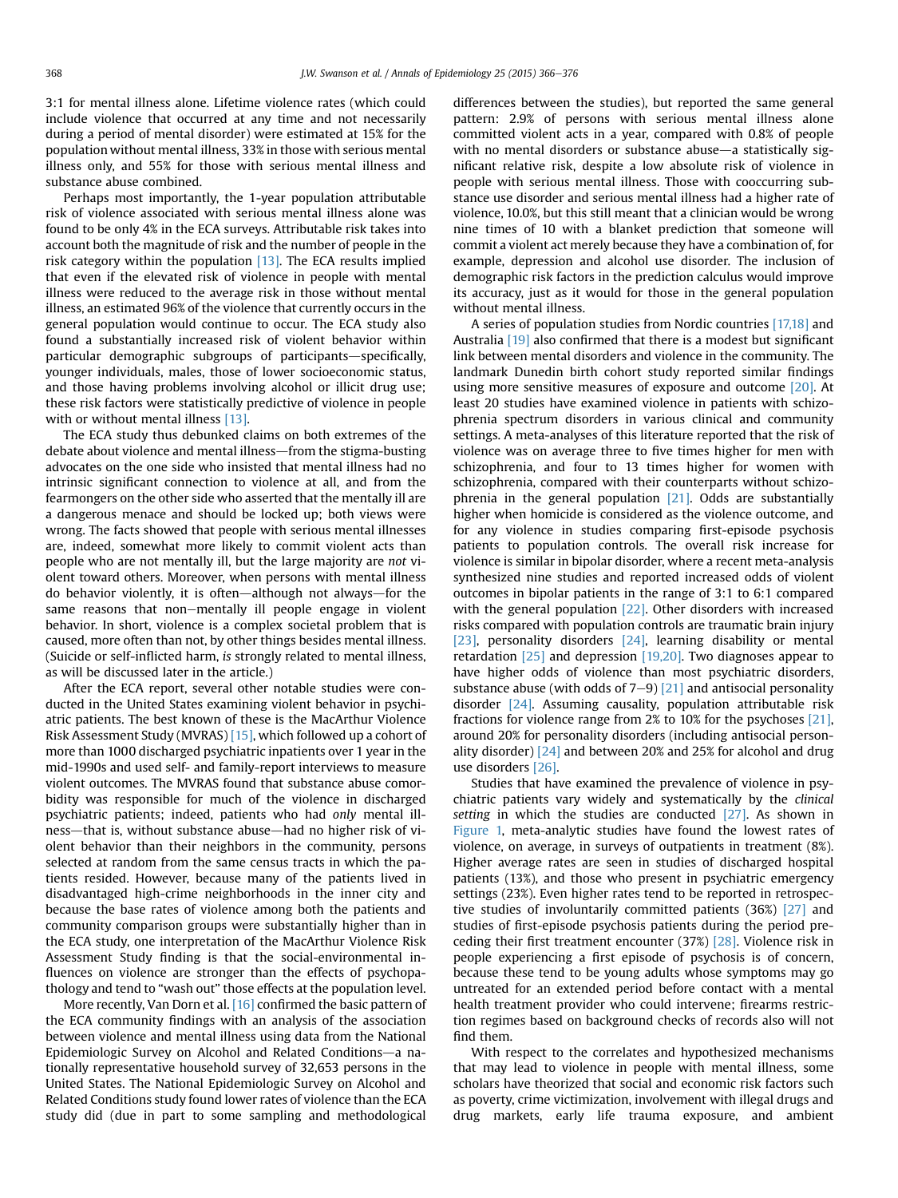3:1 for mental illness alone. Lifetime violence rates (which could include violence that occurred at any time and not necessarily during a period of mental disorder) were estimated at 15% for the population without mental illness, 33% in those with serious mental illness only, and 55% for those with serious mental illness and substance abuse combined.

Perhaps most importantly, the 1-year population attributable risk of violence associated with serious mental illness alone was found to be only 4% in the ECA surveys. Attributable risk takes into account both the magnitude of risk and the number of people in the risk category within the population [\[13\].](#page-9-0) The ECA results implied that even if the elevated risk of violence in people with mental illness were reduced to the average risk in those without mental illness, an estimated 96% of the violence that currently occurs in the general population would continue to occur. The ECA study also found a substantially increased risk of violent behavior within particular demographic subgroups of participants-specifically, younger individuals, males, those of lower socioeconomic status, and those having problems involving alcohol or illicit drug use; these risk factors were statistically predictive of violence in people with or without mental illness [\[13\]](#page-9-0).

The ECA study thus debunked claims on both extremes of the debate about violence and mental illness—from the stigma-busting advocates on the one side who insisted that mental illness had no intrinsic significant connection to violence at all, and from the fearmongers on the other side who asserted that the mentally ill are a dangerous menace and should be locked up; both views were wrong. The facts showed that people with serious mental illnesses are, indeed, somewhat more likely to commit violent acts than people who are not mentally ill, but the large majority are not violent toward others. Moreover, when persons with mental illness do behavior violently, it is often—although not always—for the same reasons that non-mentally ill people engage in violent behavior. In short, violence is a complex societal problem that is caused, more often than not, by other things besides mental illness. (Suicide or self-inflicted harm, is strongly related to mental illness, as will be discussed later in the article.)

After the ECA report, several other notable studies were conducted in the United States examining violent behavior in psychiatric patients. The best known of these is the MacArthur Violence Risk Assessment Study (MVRAS) [\[15\]](#page-9-0), which followed up a cohort of more than 1000 discharged psychiatric inpatients over 1 year in the mid-1990s and used self- and family-report interviews to measure violent outcomes. The MVRAS found that substance abuse comorbidity was responsible for much of the violence in discharged psychiatric patients; indeed, patients who had only mental illness—that is, without substance abuse—had no higher risk of violent behavior than their neighbors in the community, persons selected at random from the same census tracts in which the patients resided. However, because many of the patients lived in disadvantaged high-crime neighborhoods in the inner city and because the base rates of violence among both the patients and community comparison groups were substantially higher than in the ECA study, one interpretation of the MacArthur Violence Risk Assessment Study finding is that the social-environmental influences on violence are stronger than the effects of psychopathology and tend to "wash out" those effects at the population level.

More recently, Van Dorn et al. [\[16\]](#page-9-0) confirmed the basic pattern of the ECA community findings with an analysis of the association between violence and mental illness using data from the National Epidemiologic Survey on Alcohol and Related Conditions—a nationally representative household survey of 32,653 persons in the United States. The National Epidemiologic Survey on Alcohol and Related Conditions study found lower rates of violence than the ECA study did (due in part to some sampling and methodological

differences between the studies), but reported the same general pattern: 2.9% of persons with serious mental illness alone committed violent acts in a year, compared with 0.8% of people with no mental disorders or substance abuse—a statistically significant relative risk, despite a low absolute risk of violence in people with serious mental illness. Those with cooccurring substance use disorder and serious mental illness had a higher rate of violence, 10.0%, but this still meant that a clinician would be wrong nine times of 10 with a blanket prediction that someone will commit a violent act merely because they have a combination of, for example, depression and alcohol use disorder. The inclusion of demographic risk factors in the prediction calculus would improve its accuracy, just as it would for those in the general population without mental illness.

A series of population studies from Nordic countries [\[17,18\]](#page-9-0) and Australia [\[19\]](#page-9-0) also confirmed that there is a modest but significant link between mental disorders and violence in the community. The landmark Dunedin birth cohort study reported similar findings using more sensitive measures of exposure and outcome [\[20\]](#page-9-0). At least 20 studies have examined violence in patients with schizophrenia spectrum disorders in various clinical and community settings. A meta-analyses of this literature reported that the risk of violence was on average three to five times higher for men with schizophrenia, and four to 13 times higher for women with schizophrenia, compared with their counterparts without schizophrenia in the general population [\[21\]](#page-9-0). Odds are substantially higher when homicide is considered as the violence outcome, and for any violence in studies comparing first-episode psychosis patients to population controls. The overall risk increase for violence is similar in bipolar disorder, where a recent meta-analysis synthesized nine studies and reported increased odds of violent outcomes in bipolar patients in the range of 3:1 to 6:1 compared with the general population [\[22\].](#page-9-0) Other disorders with increased risks compared with population controls are traumatic brain injury [\[23\]](#page-9-0), personality disorders [\[24\],](#page-9-0) learning disability or mental retardation [\[25\]](#page-9-0) and depression [\[19,20\].](#page-9-0) Two diagnoses appear to have higher odds of violence than most psychiatric disorders, substance abuse (with odds of  $7-9$ ) [\[21\]](#page-9-0) and antisocial personality disorder [\[24\].](#page-9-0) Assuming causality, population attributable risk fractions for violence range from 2% to 10% for the psychoses [\[21\],](#page-9-0) around 20% for personality disorders (including antisocial personality disorder) [\[24\]](#page-9-0) and between 20% and 25% for alcohol and drug use disorders [\[26\]](#page-9-0).

Studies that have examined the prevalence of violence in psychiatric patients vary widely and systematically by the clinical setting in which the studies are conducted  $[27]$ . As shown in [Figure 1,](#page-3-0) meta-analytic studies have found the lowest rates of violence, on average, in surveys of outpatients in treatment (8%). Higher average rates are seen in studies of discharged hospital patients (13%), and those who present in psychiatric emergency settings (23%). Even higher rates tend to be reported in retrospective studies of involuntarily committed patients (36%) [\[27\]](#page-9-0) and studies of first-episode psychosis patients during the period preceding their first treatment encounter (37%) [\[28\]](#page-9-0). Violence risk in people experiencing a first episode of psychosis is of concern, because these tend to be young adults whose symptoms may go untreated for an extended period before contact with a mental health treatment provider who could intervene; firearms restriction regimes based on background checks of records also will not find them.

With respect to the correlates and hypothesized mechanisms that may lead to violence in people with mental illness, some scholars have theorized that social and economic risk factors such as poverty, crime victimization, involvement with illegal drugs and drug markets, early life trauma exposure, and ambient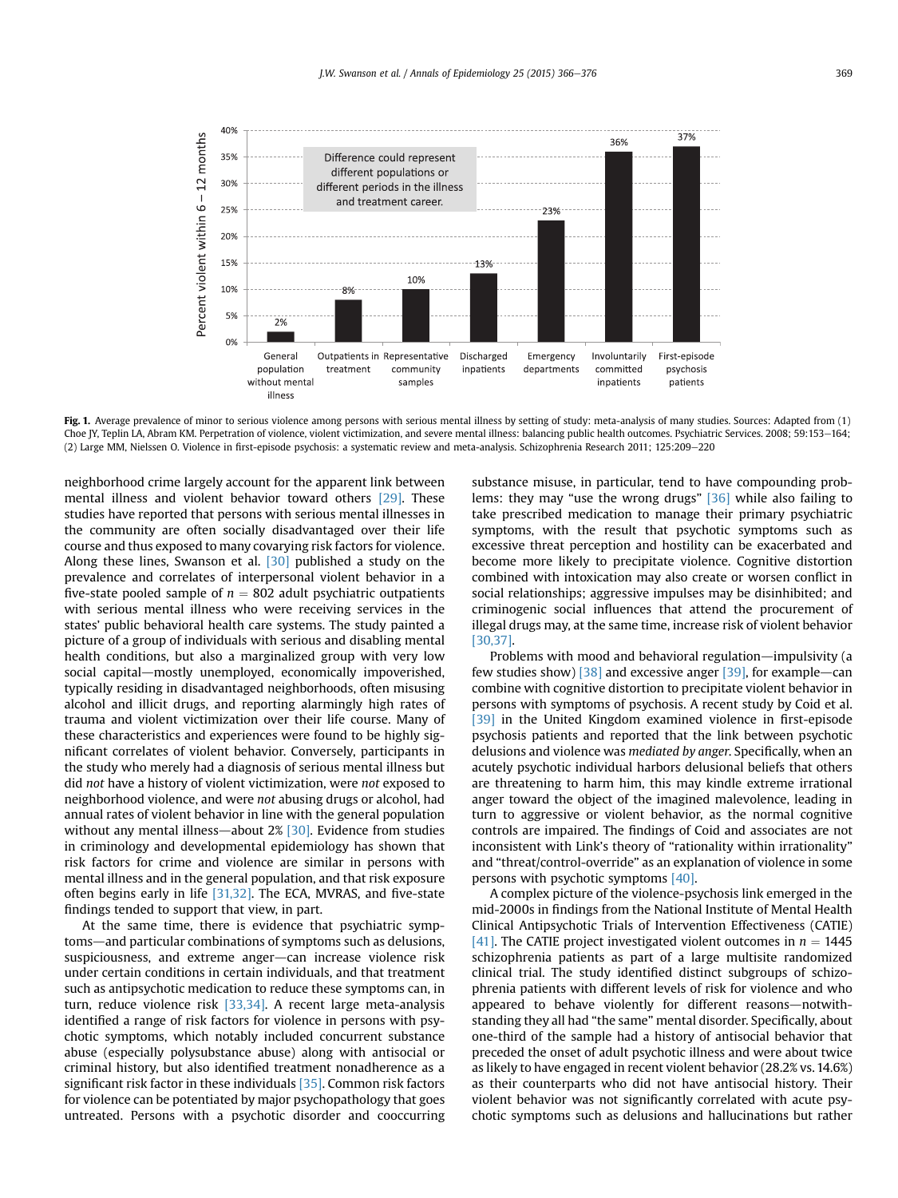<span id="page-3-0"></span>

Fig. 1. Average prevalence of minor to serious violence among persons with serious mental illness by setting of study: meta-analysis of many studies. Sources: Adapted from (1) Choe JY, Teplin LA, Abram KM. Perpetration of violence, violent victimization, and severe mental illness: balancing public health outcomes. Psychiatric Services. 2008; 59:153-164; (2) Large MM, Nielssen O. Violence in first-episode psychosis: a systematic review and meta-analysis. Schizophrenia Research 2011; 125:209-220

neighborhood crime largely account for the apparent link between mental illness and violent behavior toward others [\[29\].](#page-9-0) These studies have reported that persons with serious mental illnesses in the community are often socially disadvantaged over their life course and thus exposed to many covarying risk factors for violence. Along these lines, Swanson et al. [\[30\]](#page-9-0) published a study on the prevalence and correlates of interpersonal violent behavior in a five-state pooled sample of  $n = 802$  adult psychiatric outpatients with serious mental illness who were receiving services in the states' public behavioral health care systems. The study painted a picture of a group of individuals with serious and disabling mental health conditions, but also a marginalized group with very low social capital—mostly unemployed, economically impoverished, typically residing in disadvantaged neighborhoods, often misusing alcohol and illicit drugs, and reporting alarmingly high rates of trauma and violent victimization over their life course. Many of these characteristics and experiences were found to be highly significant correlates of violent behavior. Conversely, participants in the study who merely had a diagnosis of serious mental illness but did not have a history of violent victimization, were not exposed to neighborhood violence, and were not abusing drugs or alcohol, had annual rates of violent behavior in line with the general population without any mental illness—about  $2\%$  [\[30\]](#page-9-0). Evidence from studies in criminology and developmental epidemiology has shown that risk factors for crime and violence are similar in persons with mental illness and in the general population, and that risk exposure often begins early in life [\[31,32\]](#page-9-0). The ECA, MVRAS, and five-state findings tended to support that view, in part.

At the same time, there is evidence that psychiatric symptoms—and particular combinations of symptoms such as delusions, suspiciousness, and extreme anger-can increase violence risk under certain conditions in certain individuals, and that treatment such as antipsychotic medication to reduce these symptoms can, in turn, reduce violence risk [\[33,34\]](#page-9-0). A recent large meta-analysis identified a range of risk factors for violence in persons with psychotic symptoms, which notably included concurrent substance abuse (especially polysubstance abuse) along with antisocial or criminal history, but also identified treatment nonadherence as a significant risk factor in these individuals [\[35\]](#page-9-0). Common risk factors for violence can be potentiated by major psychopathology that goes untreated. Persons with a psychotic disorder and cooccurring substance misuse, in particular, tend to have compounding problems: they may "use the wrong drugs" [\[36\]](#page-9-0) while also failing to take prescribed medication to manage their primary psychiatric symptoms, with the result that psychotic symptoms such as excessive threat perception and hostility can be exacerbated and become more likely to precipitate violence. Cognitive distortion combined with intoxication may also create or worsen conflict in social relationships; aggressive impulses may be disinhibited; and criminogenic social influences that attend the procurement of illegal drugs may, at the same time, increase risk of violent behavior [\[30,37\].](#page-9-0)

Problems with mood and behavioral regulation—impulsivity (a few studies show) [\[38\]](#page-9-0) and excessive anger [\[39\]](#page-9-0), for example-can combine with cognitive distortion to precipitate violent behavior in persons with symptoms of psychosis. A recent study by Coid et al. [\[39\]](#page-9-0) in the United Kingdom examined violence in first-episode psychosis patients and reported that the link between psychotic delusions and violence was mediated by anger. Specifically, when an acutely psychotic individual harbors delusional beliefs that others are threatening to harm him, this may kindle extreme irrational anger toward the object of the imagined malevolence, leading in turn to aggressive or violent behavior, as the normal cognitive controls are impaired. The findings of Coid and associates are not inconsistent with Link's theory of "rationality within irrationality" and "threat/control-override" as an explanation of violence in some persons with psychotic symptoms [\[40\]](#page-10-0).

A complex picture of the violence-psychosis link emerged in the mid-2000s in findings from the National Institute of Mental Health Clinical Antipsychotic Trials of Intervention Effectiveness (CATIE) [\[41\]](#page-10-0). The CATIE project investigated violent outcomes in  $n = 1445$ schizophrenia patients as part of a large multisite randomized clinical trial. The study identified distinct subgroups of schizophrenia patients with different levels of risk for violence and who appeared to behave violently for different reasons-notwithstanding they all had "the same" mental disorder. Specifically, about one-third of the sample had a history of antisocial behavior that preceded the onset of adult psychotic illness and were about twice as likely to have engaged in recent violent behavior (28.2% vs. 14.6%) as their counterparts who did not have antisocial history. Their violent behavior was not significantly correlated with acute psychotic symptoms such as delusions and hallucinations but rather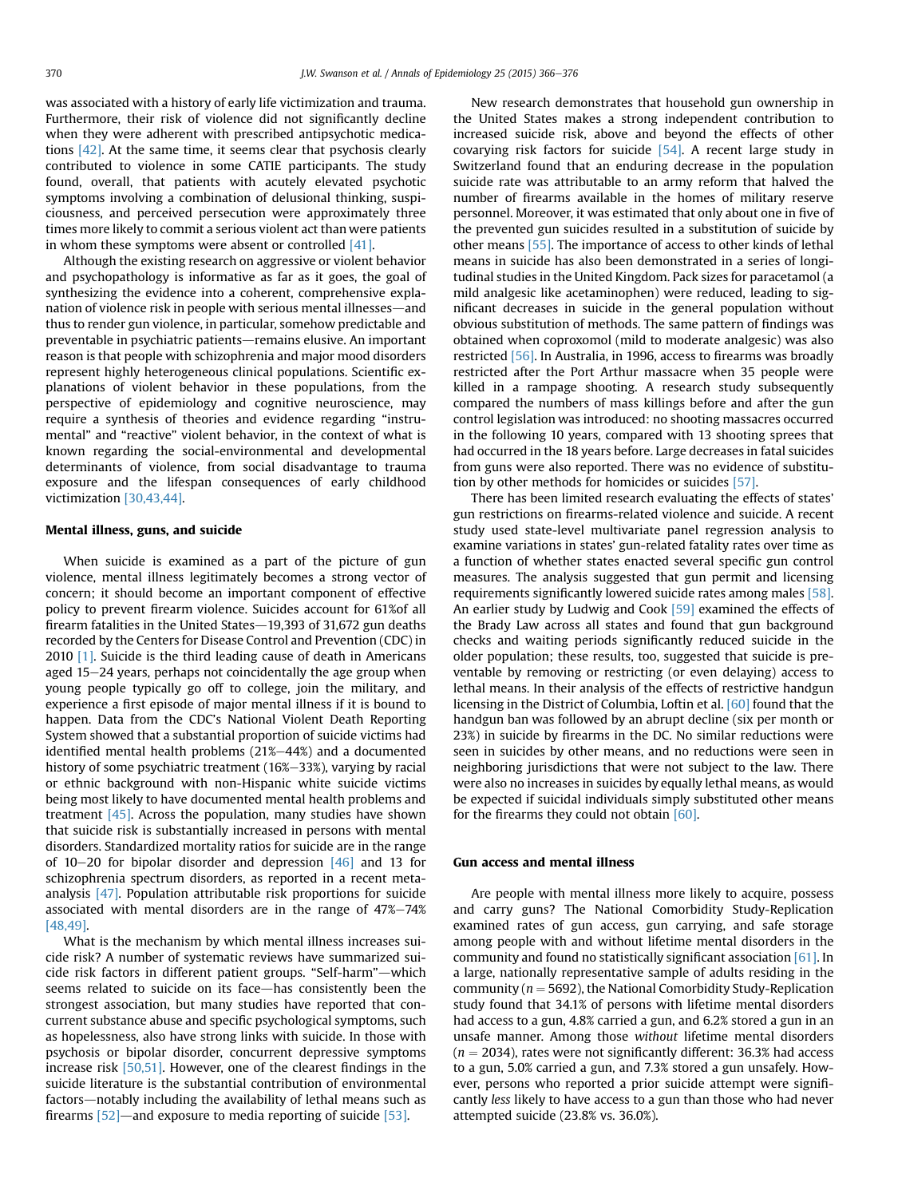was associated with a history of early life victimization and trauma. Furthermore, their risk of violence did not significantly decline when they were adherent with prescribed antipsychotic medications [\[42\]](#page-10-0). At the same time, it seems clear that psychosis clearly contributed to violence in some CATIE participants. The study found, overall, that patients with acutely elevated psychotic symptoms involving a combination of delusional thinking, suspiciousness, and perceived persecution were approximately three times more likely to commit a serious violent act than were patients in whom these symptoms were absent or controlled [\[41\]](#page-10-0).

Although the existing research on aggressive or violent behavior and psychopathology is informative as far as it goes, the goal of synthesizing the evidence into a coherent, comprehensive explanation of violence risk in people with serious mental illnesses—and thus to render gun violence, in particular, somehow predictable and preventable in psychiatric patients-remains elusive. An important reason is that people with schizophrenia and major mood disorders represent highly heterogeneous clinical populations. Scientific explanations of violent behavior in these populations, from the perspective of epidemiology and cognitive neuroscience, may require a synthesis of theories and evidence regarding "instrumental" and "reactive" violent behavior, in the context of what is known regarding the social-environmental and developmental determinants of violence, from social disadvantage to trauma exposure and the lifespan consequences of early childhood victimization [\[30,43,44\]](#page-9-0).

#### Mental illness, guns, and suicide

When suicide is examined as a part of the picture of gun violence, mental illness legitimately becomes a strong vector of concern; it should become an important component of effective policy to prevent firearm violence. Suicides account for 61%of all firearm fatalities in the United States $-19,393$  of 31,672 gun deaths recorded by the Centers for Disease Control and Prevention (CDC) in 2010 [\[1\].](#page-9-0) Suicide is the third leading cause of death in Americans aged 15-24 years, perhaps not coincidentally the age group when young people typically go off to college, join the military, and experience a first episode of major mental illness if it is bound to happen. Data from the CDC's National Violent Death Reporting System showed that a substantial proportion of suicide victims had identified mental health problems  $(21\%-44\%)$  and a documented history of some psychiatric treatment (16%-33%), varying by racial or ethnic background with non-Hispanic white suicide victims being most likely to have documented mental health problems and treatment [\[45\].](#page-10-0) Across the population, many studies have shown that suicide risk is substantially increased in persons with mental disorders. Standardized mortality ratios for suicide are in the range of  $10-20$  for bipolar disorder and depression  $[46]$  and 13 for schizophrenia spectrum disorders, as reported in a recent metaanalysis [\[47\]](#page-10-0). Population attributable risk proportions for suicide associated with mental disorders are in the range of  $47\% - 74\%$ [\[48,49\]](#page-10-0).

What is the mechanism by which mental illness increases suicide risk? A number of systematic reviews have summarized suicide risk factors in different patient groups. "Self-harm"-which seems related to suicide on its face-has consistently been the strongest association, but many studies have reported that concurrent substance abuse and specific psychological symptoms, such as hopelessness, also have strong links with suicide. In those with psychosis or bipolar disorder, concurrent depressive symptoms increase risk [\[50,51\]](#page-10-0). However, one of the clearest findings in the suicide literature is the substantial contribution of environmental factors-notably including the availability of lethal means such as firearms  $[52]$ —and exposure to media reporting of suicide  $[53]$ .

New research demonstrates that household gun ownership in the United States makes a strong independent contribution to increased suicide risk, above and beyond the effects of other covarying risk factors for suicide  $[54]$ . A recent large study in Switzerland found that an enduring decrease in the population suicide rate was attributable to an army reform that halved the number of firearms available in the homes of military reserve personnel. Moreover, it was estimated that only about one in five of the prevented gun suicides resulted in a substitution of suicide by other means [\[55\].](#page-10-0) The importance of access to other kinds of lethal means in suicide has also been demonstrated in a series of longitudinal studies in the United Kingdom. Pack sizes for paracetamol (a mild analgesic like acetaminophen) were reduced, leading to significant decreases in suicide in the general population without obvious substitution of methods. The same pattern of findings was obtained when coproxomol (mild to moderate analgesic) was also restricted [\[56\]](#page-10-0). In Australia, in 1996, access to firearms was broadly restricted after the Port Arthur massacre when 35 people were killed in a rampage shooting. A research study subsequently compared the numbers of mass killings before and after the gun control legislation was introduced: no shooting massacres occurred in the following 10 years, compared with 13 shooting sprees that had occurred in the 18 years before. Large decreases in fatal suicides from guns were also reported. There was no evidence of substitution by other methods for homicides or suicides [\[57\].](#page-10-0)

There has been limited research evaluating the effects of states' gun restrictions on firearms-related violence and suicide. A recent study used state-level multivariate panel regression analysis to examine variations in states' gun-related fatality rates over time as a function of whether states enacted several specific gun control measures. The analysis suggested that gun permit and licensing requirements significantly lowered suicide rates among males [\[58\].](#page-10-0) An earlier study by Ludwig and Cook [\[59\]](#page-10-0) examined the effects of the Brady Law across all states and found that gun background checks and waiting periods significantly reduced suicide in the older population; these results, too, suggested that suicide is preventable by removing or restricting (or even delaying) access to lethal means. In their analysis of the effects of restrictive handgun licensing in the District of Columbia, Loftin et al. [\[60\]](#page-10-0) found that the handgun ban was followed by an abrupt decline (six per month or 23%) in suicide by firearms in the DC. No similar reductions were seen in suicides by other means, and no reductions were seen in neighboring jurisdictions that were not subject to the law. There were also no increases in suicides by equally lethal means, as would be expected if suicidal individuals simply substituted other means for the firearms they could not obtain [\[60\].](#page-10-0)

#### Gun access and mental illness

Are people with mental illness more likely to acquire, possess and carry guns? The National Comorbidity Study-Replication examined rates of gun access, gun carrying, and safe storage among people with and without lifetime mental disorders in the community and found no statistically significant association [\[61\]](#page-10-0). In a large, nationally representative sample of adults residing in the community ( $n = 5692$ ), the National Comorbidity Study-Replication study found that 34.1% of persons with lifetime mental disorders had access to a gun, 4.8% carried a gun, and 6.2% stored a gun in an unsafe manner. Among those without lifetime mental disorders  $(n = 2034)$ , rates were not significantly different: 36.3% had access to a gun, 5.0% carried a gun, and 7.3% stored a gun unsafely. However, persons who reported a prior suicide attempt were significantly less likely to have access to a gun than those who had never attempted suicide (23.8% vs. 36.0%).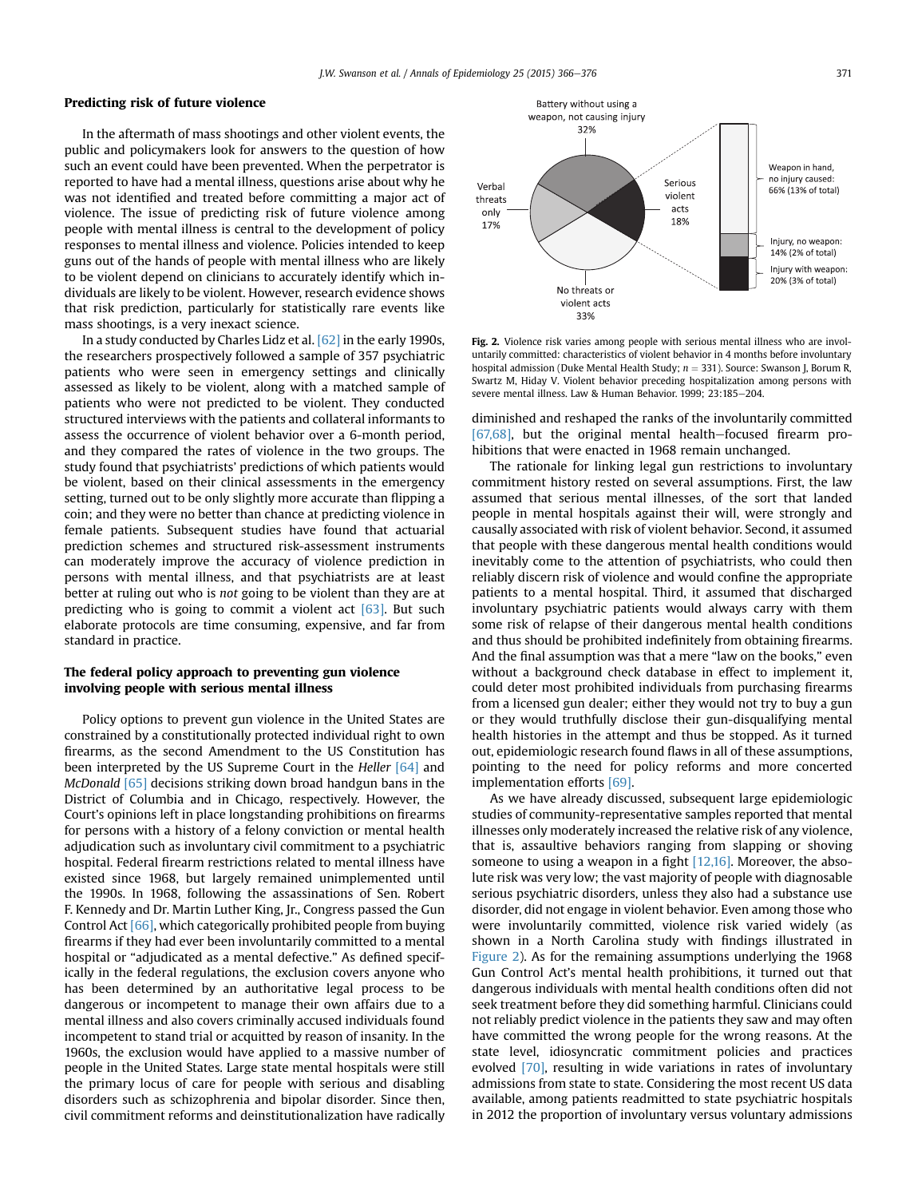#### Predicting risk of future violence

In the aftermath of mass shootings and other violent events, the public and policymakers look for answers to the question of how such an event could have been prevented. When the perpetrator is reported to have had a mental illness, questions arise about why he was not identified and treated before committing a major act of violence. The issue of predicting risk of future violence among people with mental illness is central to the development of policy responses to mental illness and violence. Policies intended to keep guns out of the hands of people with mental illness who are likely to be violent depend on clinicians to accurately identify which individuals are likely to be violent. However, research evidence shows that risk prediction, particularly for statistically rare events like mass shootings, is a very inexact science.

In a study conducted by Charles Lidz et al. [\[62\]](#page-10-0) in the early 1990s, the researchers prospectively followed a sample of 357 psychiatric patients who were seen in emergency settings and clinically assessed as likely to be violent, along with a matched sample of patients who were not predicted to be violent. They conducted structured interviews with the patients and collateral informants to assess the occurrence of violent behavior over a 6-month period, and they compared the rates of violence in the two groups. The study found that psychiatrists' predictions of which patients would be violent, based on their clinical assessments in the emergency setting, turned out to be only slightly more accurate than flipping a coin; and they were no better than chance at predicting violence in female patients. Subsequent studies have found that actuarial prediction schemes and structured risk-assessment instruments can moderately improve the accuracy of violence prediction in persons with mental illness, and that psychiatrists are at least better at ruling out who is not going to be violent than they are at predicting who is going to commit a violent act  $[63]$ . But such elaborate protocols are time consuming, expensive, and far from standard in practice.

## The federal policy approach to preventing gun violence involving people with serious mental illness

Policy options to prevent gun violence in the United States are constrained by a constitutionally protected individual right to own firearms, as the second Amendment to the US Constitution has been interpreted by the US Supreme Court in the Heller [\[64\]](#page-10-0) and McDonald [\[65\]](#page-10-0) decisions striking down broad handgun bans in the District of Columbia and in Chicago, respectively. However, the Court's opinions left in place longstanding prohibitions on firearms for persons with a history of a felony conviction or mental health adjudication such as involuntary civil commitment to a psychiatric hospital. Federal firearm restrictions related to mental illness have existed since 1968, but largely remained unimplemented until the 1990s. In 1968, following the assassinations of Sen. Robert F. Kennedy and Dr. Martin Luther King, Jr., Congress passed the Gun Control Act [\[66\],](#page-10-0) which categorically prohibited people from buying firearms if they had ever been involuntarily committed to a mental hospital or "adjudicated as a mental defective." As defined specifically in the federal regulations, the exclusion covers anyone who has been determined by an authoritative legal process to be dangerous or incompetent to manage their own affairs due to a mental illness and also covers criminally accused individuals found incompetent to stand trial or acquitted by reason of insanity. In the 1960s, the exclusion would have applied to a massive number of people in the United States. Large state mental hospitals were still the primary locus of care for people with serious and disabling disorders such as schizophrenia and bipolar disorder. Since then, civil commitment reforms and deinstitutionalization have radically



Fig. 2. Violence risk varies among people with serious mental illness who are involuntarily committed: characteristics of violent behavior in 4 months before involuntary hospital admission (Duke Mental Health Study;  $n = 331$ ). Source: Swanson J, Borum R, Swartz M, Hiday V. Violent behavior preceding hospitalization among persons with severe mental illness. Law & Human Behavior. 1999; 23:185-204.

diminished and reshaped the ranks of the involuntarily committed  $[67,68]$ , but the original mental health-focused firearm prohibitions that were enacted in 1968 remain unchanged.

The rationale for linking legal gun restrictions to involuntary commitment history rested on several assumptions. First, the law assumed that serious mental illnesses, of the sort that landed people in mental hospitals against their will, were strongly and causally associated with risk of violent behavior. Second, it assumed that people with these dangerous mental health conditions would inevitably come to the attention of psychiatrists, who could then reliably discern risk of violence and would confine the appropriate patients to a mental hospital. Third, it assumed that discharged involuntary psychiatric patients would always carry with them some risk of relapse of their dangerous mental health conditions and thus should be prohibited indefinitely from obtaining firearms. And the final assumption was that a mere "law on the books," even without a background check database in effect to implement it, could deter most prohibited individuals from purchasing firearms from a licensed gun dealer; either they would not try to buy a gun or they would truthfully disclose their gun-disqualifying mental health histories in the attempt and thus be stopped. As it turned out, epidemiologic research found flaws in all of these assumptions, pointing to the need for policy reforms and more concerted implementation efforts [\[69\].](#page-10-0)

As we have already discussed, subsequent large epidemiologic studies of community-representative samples reported that mental illnesses only moderately increased the relative risk of any violence, that is, assaultive behaviors ranging from slapping or shoving someone to using a weapon in a fight  $[12,16]$ . Moreover, the absolute risk was very low; the vast majority of people with diagnosable serious psychiatric disorders, unless they also had a substance use disorder, did not engage in violent behavior. Even among those who were involuntarily committed, violence risk varied widely (as shown in a North Carolina study with findings illustrated in Figure 2). As for the remaining assumptions underlying the 1968 Gun Control Act's mental health prohibitions, it turned out that dangerous individuals with mental health conditions often did not seek treatment before they did something harmful. Clinicians could not reliably predict violence in the patients they saw and may often have committed the wrong people for the wrong reasons. At the state level, idiosyncratic commitment policies and practices evolved [\[70\]](#page-10-0), resulting in wide variations in rates of involuntary admissions from state to state. Considering the most recent US data available, among patients readmitted to state psychiatric hospitals in 2012 the proportion of involuntary versus voluntary admissions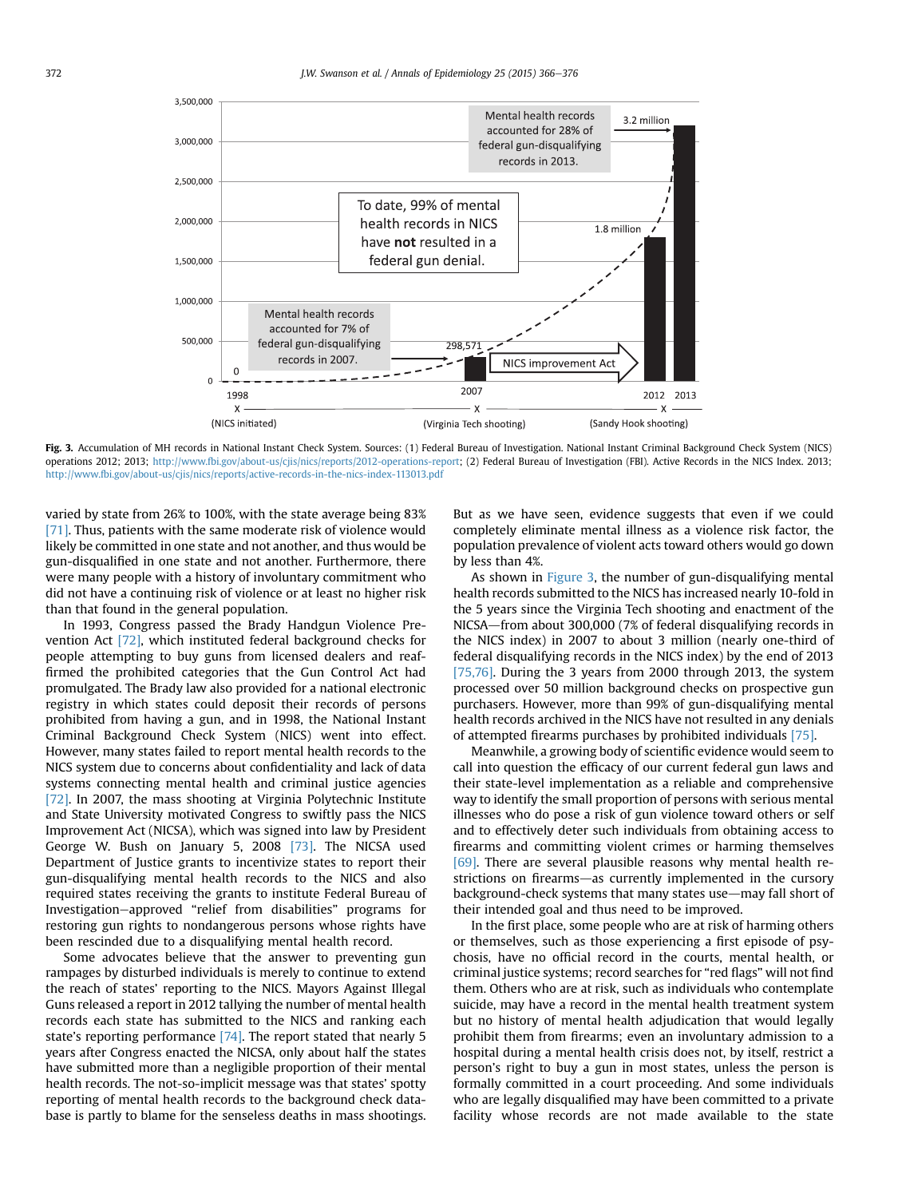

Fig. 3. Accumulation of MH records in National Instant Check System. Sources: (1) Federal Bureau of Investigation. National Instant Criminal Background Check System (NICS) operations 2012; 2013; [http://www.fbi.gov/about-us/cjis/nics/reports/2012-operations-report;](http://www.fbi.gov/about-us/cjis/nics/reports/2012-operations-report) (2) Federal Bureau of Investigation (FBI). Active Records in the NICS Index. 2013; <http://www.fbi.gov/about-us/cjis/nics/reports/active-records-in-the-nics-index-113013.pdf>

varied by state from 26% to 100%, with the state average being 83% [\[71\]](#page-10-0). Thus, patients with the same moderate risk of violence would likely be committed in one state and not another, and thus would be gun-disqualified in one state and not another. Furthermore, there were many people with a history of involuntary commitment who did not have a continuing risk of violence or at least no higher risk than that found in the general population.

In 1993, Congress passed the Brady Handgun Violence Prevention Act [\[72\]](#page-10-0), which instituted federal background checks for people attempting to buy guns from licensed dealers and reaffirmed the prohibited categories that the Gun Control Act had promulgated. The Brady law also provided for a national electronic registry in which states could deposit their records of persons prohibited from having a gun, and in 1998, the National Instant Criminal Background Check System (NICS) went into effect. However, many states failed to report mental health records to the NICS system due to concerns about confidentiality and lack of data systems connecting mental health and criminal justice agencies [\[72\]](#page-10-0). In 2007, the mass shooting at Virginia Polytechnic Institute and State University motivated Congress to swiftly pass the NICS Improvement Act (NICSA), which was signed into law by President George W. Bush on January 5, 2008 [\[73\]](#page-10-0). The NICSA used Department of Justice grants to incentivize states to report their gun-disqualifying mental health records to the NICS and also required states receiving the grants to institute Federal Bureau of Investigation-approved "relief from disabilities" programs for restoring gun rights to nondangerous persons whose rights have been rescinded due to a disqualifying mental health record.

Some advocates believe that the answer to preventing gun rampages by disturbed individuals is merely to continue to extend the reach of states' reporting to the NICS. Mayors Against Illegal Guns released a report in 2012 tallying the number of mental health records each state has submitted to the NICS and ranking each state's reporting performance [\[74\]](#page-10-0). The report stated that nearly 5 years after Congress enacted the NICSA, only about half the states have submitted more than a negligible proportion of their mental health records. The not-so-implicit message was that states' spotty reporting of mental health records to the background check database is partly to blame for the senseless deaths in mass shootings.

But as we have seen, evidence suggests that even if we could completely eliminate mental illness as a violence risk factor, the population prevalence of violent acts toward others would go down by less than 4%.

As shown in Figure 3, the number of gun-disqualifying mental health records submitted to the NICS has increased nearly 10-fold in the 5 years since the Virginia Tech shooting and enactment of the NICSA—from about 300,000 (7% of federal disqualifying records in the NICS index) in 2007 to about 3 million (nearly one-third of federal disqualifying records in the NICS index) by the end of 2013 [\[75,76\]](#page-10-0). During the 3 years from 2000 through 2013, the system processed over 50 million background checks on prospective gun purchasers. However, more than 99% of gun-disqualifying mental health records archived in the NICS have not resulted in any denials of attempted firearms purchases by prohibited individuals [\[75\].](#page-10-0)

Meanwhile, a growing body of scientific evidence would seem to call into question the efficacy of our current federal gun laws and their state-level implementation as a reliable and comprehensive way to identify the small proportion of persons with serious mental illnesses who do pose a risk of gun violence toward others or self and to effectively deter such individuals from obtaining access to firearms and committing violent crimes or harming themselves [\[69\]](#page-10-0). There are several plausible reasons why mental health restrictions on firearms—as currently implemented in the cursory background-check systems that many states use—may fall short of their intended goal and thus need to be improved.

In the first place, some people who are at risk of harming others or themselves, such as those experiencing a first episode of psychosis, have no official record in the courts, mental health, or criminal justice systems; record searches for "red flags" will not find them. Others who are at risk, such as individuals who contemplate suicide, may have a record in the mental health treatment system but no history of mental health adjudication that would legally prohibit them from firearms; even an involuntary admission to a hospital during a mental health crisis does not, by itself, restrict a person's right to buy a gun in most states, unless the person is formally committed in a court proceeding. And some individuals who are legally disqualified may have been committed to a private facility whose records are not made available to the state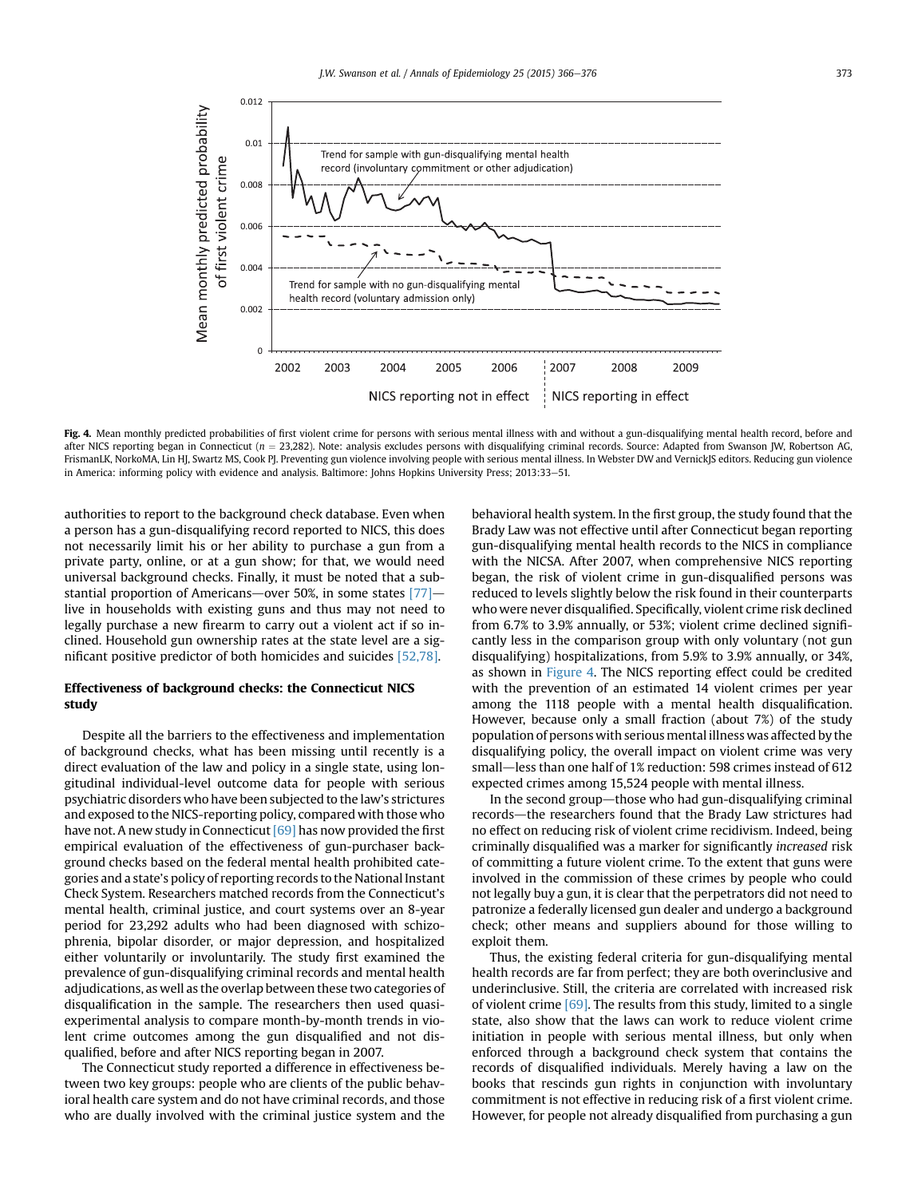

Fig. 4. Mean monthly predicted probabilities of first violent crime for persons with serious mental illness with and without a gun-disqualifying mental health record, before and after NICS reporting began in Connecticut ( $n = 23,282$ ). Note: analysis excludes persons with disqualifying criminal records. Source: Adapted from Swanson JW, Robertson AG, FrismanLK, NorkoMA, Lin HJ, Swartz MS, Cook PJ. Preventing gun violence involving people with serious mental illness. In Webster DW and VernickJS editors. Reducing gun violence in America: informing policy with evidence and analysis. Baltimore: Johns Hopkins University Press; 2013:33–51.

authorities to report to the background check database. Even when a person has a gun-disqualifying record reported to NICS, this does not necessarily limit his or her ability to purchase a gun from a private party, online, or at a gun show; for that, we would need universal background checks. Finally, it must be noted that a substantial proportion of Americans—over 50%, in some states  $[77]$  live in households with existing guns and thus may not need to legally purchase a new firearm to carry out a violent act if so inclined. Household gun ownership rates at the state level are a significant positive predictor of both homicides and suicides [\[52,78\].](#page-10-0)

## Effectiveness of background checks: the Connecticut NICS study

Despite all the barriers to the effectiveness and implementation of background checks, what has been missing until recently is a direct evaluation of the law and policy in a single state, using longitudinal individual-level outcome data for people with serious psychiatric disorders who have been subjected to the law's strictures and exposed to the NICS-reporting policy, compared with those who have not. A new study in Connecticut [\[69\]](#page-10-0) has now provided the first empirical evaluation of the effectiveness of gun-purchaser background checks based on the federal mental health prohibited categories and a state's policy of reporting records to the National Instant Check System. Researchers matched records from the Connecticut's mental health, criminal justice, and court systems over an 8-year period for 23,292 adults who had been diagnosed with schizophrenia, bipolar disorder, or major depression, and hospitalized either voluntarily or involuntarily. The study first examined the prevalence of gun-disqualifying criminal records and mental health adjudications, as well as the overlap between these two categories of disqualification in the sample. The researchers then used quasiexperimental analysis to compare month-by-month trends in violent crime outcomes among the gun disqualified and not disqualified, before and after NICS reporting began in 2007.

The Connecticut study reported a difference in effectiveness between two key groups: people who are clients of the public behavioral health care system and do not have criminal records, and those who are dually involved with the criminal justice system and the behavioral health system. In the first group, the study found that the Brady Law was not effective until after Connecticut began reporting gun-disqualifying mental health records to the NICS in compliance with the NICSA. After 2007, when comprehensive NICS reporting began, the risk of violent crime in gun-disqualified persons was reduced to levels slightly below the risk found in their counterparts who were never disqualified. Specifically, violent crime risk declined from 6.7% to 3.9% annually, or 53%; violent crime declined significantly less in the comparison group with only voluntary (not gun disqualifying) hospitalizations, from 5.9% to 3.9% annually, or 34%, as shown in Figure 4. The NICS reporting effect could be credited with the prevention of an estimated 14 violent crimes per year among the 1118 people with a mental health disqualification. However, because only a small fraction (about 7%) of the study population of persons with serious mental illness was affected by the disqualifying policy, the overall impact on violent crime was very small-less than one half of 1% reduction: 598 crimes instead of 612 expected crimes among 15,524 people with mental illness.

In the second group—those who had gun-disqualifying criminal records-the researchers found that the Brady Law strictures had no effect on reducing risk of violent crime recidivism. Indeed, being criminally disqualified was a marker for significantly increased risk of committing a future violent crime. To the extent that guns were involved in the commission of these crimes by people who could not legally buy a gun, it is clear that the perpetrators did not need to patronize a federally licensed gun dealer and undergo a background check; other means and suppliers abound for those willing to exploit them.

Thus, the existing federal criteria for gun-disqualifying mental health records are far from perfect; they are both overinclusive and underinclusive. Still, the criteria are correlated with increased risk of violent crime [\[69\].](#page-10-0) The results from this study, limited to a single state, also show that the laws can work to reduce violent crime initiation in people with serious mental illness, but only when enforced through a background check system that contains the records of disqualified individuals. Merely having a law on the books that rescinds gun rights in conjunction with involuntary commitment is not effective in reducing risk of a first violent crime. However, for people not already disqualified from purchasing a gun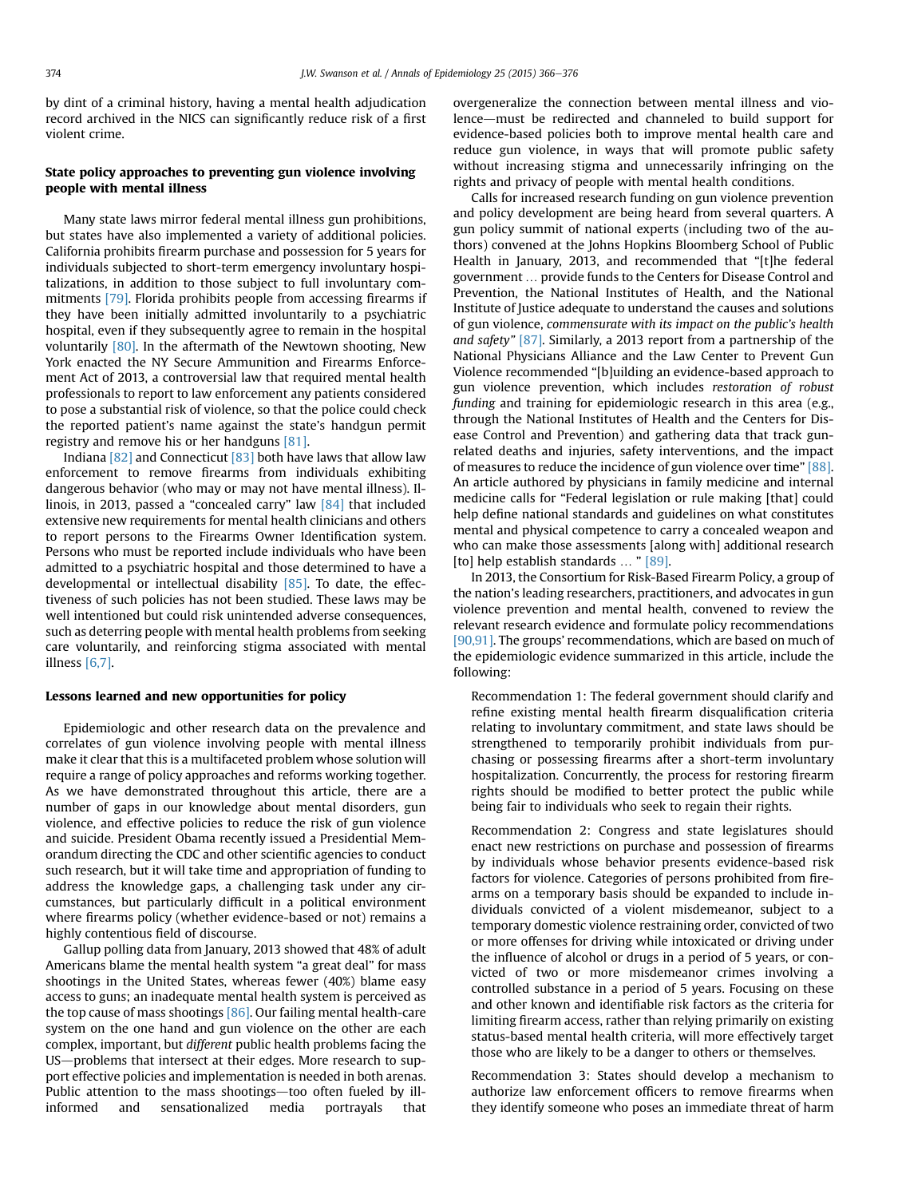by dint of a criminal history, having a mental health adjudication record archived in the NICS can significantly reduce risk of a first violent crime.

# State policy approaches to preventing gun violence involving people with mental illness

Many state laws mirror federal mental illness gun prohibitions, but states have also implemented a variety of additional policies. California prohibits firearm purchase and possession for 5 years for individuals subjected to short-term emergency involuntary hospitalizations, in addition to those subject to full involuntary commitments [\[79\].](#page-10-0) Florida prohibits people from accessing firearms if they have been initially admitted involuntarily to a psychiatric hospital, even if they subsequently agree to remain in the hospital voluntarily [\[80\].](#page-10-0) In the aftermath of the Newtown shooting, New York enacted the NY Secure Ammunition and Firearms Enforcement Act of 2013, a controversial law that required mental health professionals to report to law enforcement any patients considered to pose a substantial risk of violence, so that the police could check the reported patient's name against the state's handgun permit registry and remove his or her handguns [\[81\]](#page-10-0).

Indiana [\[82\]](#page-10-0) and Connecticut [\[83\]](#page-10-0) both have laws that allow law enforcement to remove firearms from individuals exhibiting dangerous behavior (who may or may not have mental illness). Illinois, in 2013, passed a "concealed carry" law [\[84\]](#page-10-0) that included extensive new requirements for mental health clinicians and others to report persons to the Firearms Owner Identification system. Persons who must be reported include individuals who have been admitted to a psychiatric hospital and those determined to have a developmental or intellectual disability [\[85\]](#page-10-0). To date, the effectiveness of such policies has not been studied. These laws may be well intentioned but could risk unintended adverse consequences, such as deterring people with mental health problems from seeking care voluntarily, and reinforcing stigma associated with mental illness [\[6,7\].](#page-9-0)

## Lessons learned and new opportunities for policy

Epidemiologic and other research data on the prevalence and correlates of gun violence involving people with mental illness make it clear that this is a multifaceted problem whose solution will require a range of policy approaches and reforms working together. As we have demonstrated throughout this article, there are a number of gaps in our knowledge about mental disorders, gun violence, and effective policies to reduce the risk of gun violence and suicide. President Obama recently issued a Presidential Memorandum directing the CDC and other scientific agencies to conduct such research, but it will take time and appropriation of funding to address the knowledge gaps, a challenging task under any circumstances, but particularly difficult in a political environment where firearms policy (whether evidence-based or not) remains a highly contentious field of discourse.

Gallup polling data from January, 2013 showed that 48% of adult Americans blame the mental health system "a great deal" for mass shootings in the United States, whereas fewer (40%) blame easy access to guns; an inadequate mental health system is perceived as the top cause of mass shootings [\[86\]](#page-10-0). Our failing mental health-care system on the one hand and gun violence on the other are each complex, important, but different public health problems facing the US—problems that intersect at their edges. More research to support effective policies and implementation is needed in both arenas. Public attention to the mass shootings—too often fueled by illinformed and sensationalized media portrayals that

overgeneralize the connection between mental illness and violence—must be redirected and channeled to build support for evidence-based policies both to improve mental health care and reduce gun violence, in ways that will promote public safety without increasing stigma and unnecessarily infringing on the rights and privacy of people with mental health conditions.

Calls for increased research funding on gun violence prevention and policy development are being heard from several quarters. A gun policy summit of national experts (including two of the authors) convened at the Johns Hopkins Bloomberg School of Public Health in January, 2013, and recommended that "[t]he federal government ... provide funds to the Centers for Disease Control and Prevention, the National Institutes of Health, and the National Institute of Justice adequate to understand the causes and solutions of gun violence, commensurate with its impact on the public's health and safety" [\[87\].](#page-10-0) Similarly, a 2013 report from a partnership of the National Physicians Alliance and the Law Center to Prevent Gun Violence recommended "[b]uilding an evidence-based approach to gun violence prevention, which includes restoration of robust funding and training for epidemiologic research in this area (e.g., through the National Institutes of Health and the Centers for Disease Control and Prevention) and gathering data that track gunrelated deaths and injuries, safety interventions, and the impact of measures to reduce the incidence of gun violence over time" [\[88\].](#page-10-0) An article authored by physicians in family medicine and internal medicine calls for "Federal legislation or rule making [that] could help define national standards and guidelines on what constitutes mental and physical competence to carry a concealed weapon and who can make those assessments [along with] additional research [to] help establish standards ... "[\[89\]](#page-10-0).

In 2013, the Consortium for Risk-Based Firearm Policy, a group of the nation's leading researchers, practitioners, and advocates in gun violence prevention and mental health, convened to review the relevant research evidence and formulate policy recommendations [\[90,91\]](#page-10-0). The groups' recommendations, which are based on much of the epidemiologic evidence summarized in this article, include the following:

Recommendation 1: The federal government should clarify and refine existing mental health firearm disqualification criteria relating to involuntary commitment, and state laws should be strengthened to temporarily prohibit individuals from purchasing or possessing firearms after a short-term involuntary hospitalization. Concurrently, the process for restoring firearm rights should be modified to better protect the public while being fair to individuals who seek to regain their rights.

Recommendation 2: Congress and state legislatures should enact new restrictions on purchase and possession of firearms by individuals whose behavior presents evidence-based risk factors for violence. Categories of persons prohibited from firearms on a temporary basis should be expanded to include individuals convicted of a violent misdemeanor, subject to a temporary domestic violence restraining order, convicted of two or more offenses for driving while intoxicated or driving under the influence of alcohol or drugs in a period of 5 years, or convicted of two or more misdemeanor crimes involving a controlled substance in a period of 5 years. Focusing on these and other known and identifiable risk factors as the criteria for limiting firearm access, rather than relying primarily on existing status-based mental health criteria, will more effectively target those who are likely to be a danger to others or themselves.

Recommendation 3: States should develop a mechanism to authorize law enforcement officers to remove firearms when they identify someone who poses an immediate threat of harm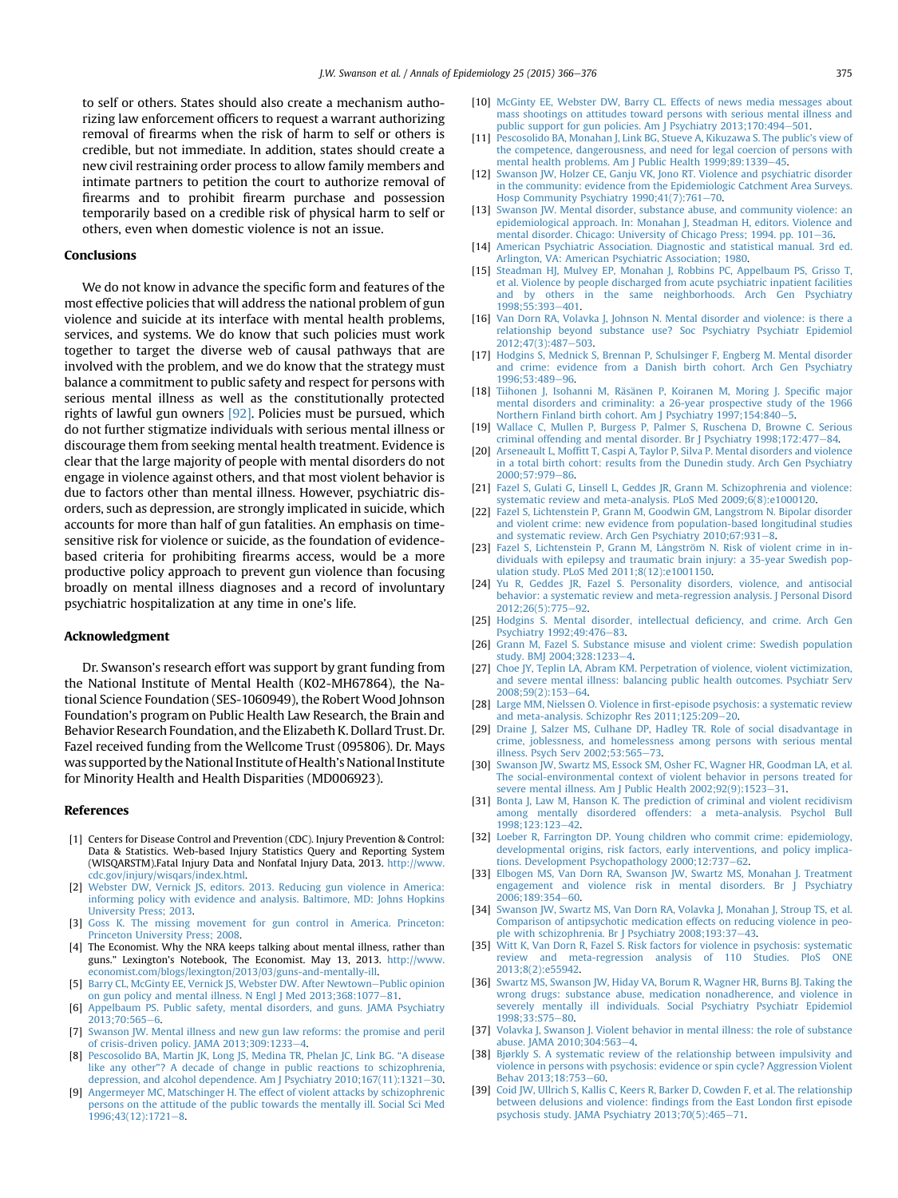<span id="page-9-0"></span>to self or others. States should also create a mechanism authorizing law enforcement officers to request a warrant authorizing removal of firearms when the risk of harm to self or others is credible, but not immediate. In addition, states should create a new civil restraining order process to allow family members and intimate partners to petition the court to authorize removal of firearms and to prohibit firearm purchase and possession temporarily based on a credible risk of physical harm to self or others, even when domestic violence is not an issue.

#### Conclusions

We do not know in advance the specific form and features of the most effective policies that will address the national problem of gun violence and suicide at its interface with mental health problems, services, and systems. We do know that such policies must work together to target the diverse web of causal pathways that are involved with the problem, and we do know that the strategy must balance a commitment to public safety and respect for persons with serious mental illness as well as the constitutionally protected rights of lawful gun owners [\[92\]](#page-10-0). Policies must be pursued, which do not further stigmatize individuals with serious mental illness or discourage them from seeking mental health treatment. Evidence is clear that the large majority of people with mental disorders do not engage in violence against others, and that most violent behavior is due to factors other than mental illness. However, psychiatric disorders, such as depression, are strongly implicated in suicide, which accounts for more than half of gun fatalities. An emphasis on timesensitive risk for violence or suicide, as the foundation of evidencebased criteria for prohibiting firearms access, would be a more productive policy approach to prevent gun violence than focusing broadly on mental illness diagnoses and a record of involuntary psychiatric hospitalization at any time in one's life.

#### Acknowledgment

Dr. Swanson's research effort was support by grant funding from the National Institute of Mental Health (K02-MH67864), the National Science Foundation (SES-1060949), the Robert Wood Johnson Foundation's program on Public Health Law Research, the Brain and Behavior Research Foundation, and the Elizabeth K. Dollard Trust. Dr. Fazel received funding from the Wellcome Trust (095806). Dr. Mays was supported by the National Institute of Health's National Institute for Minority Health and Health Disparities (MD006923).

#### References

- [1] Centers for Disease Control and Prevention (CDC). Injury Prevention & Control: Data & Statistics. Web-based Injury Statistics Query and Reporting System (WISQARSTM).Fatal Injury Data and Nonfatal Injury Data, 2013. [http://www.](http://www.cdc.gov/injury/wisqars/index.html) [cdc.gov/injury/wisqars/index.html](http://www.cdc.gov/injury/wisqars/index.html).
- [2] [Webster DW, Vernick JS, editors. 2013. Reducing gun violence in America:](http://refhub.elsevier.com/S1047-2797(14)00147-1/sref1) [informing policy with evidence and analysis. Baltimore, MD: Johns Hopkins](http://refhub.elsevier.com/S1047-2797(14)00147-1/sref1) [University Press; 2013](http://refhub.elsevier.com/S1047-2797(14)00147-1/sref1).
- [3] [Goss K. The missing movement for gun control in America. Princeton:](http://refhub.elsevier.com/S1047-2797(14)00147-1/sref2) [Princeton University Press; 2008](http://refhub.elsevier.com/S1047-2797(14)00147-1/sref2).
- [4] The Economist. Why the NRA keeps talking about mental illness, rather than guns." Lexington's Notebook, The Economist. May 13, 2013. [http://www.](http://www.economist.com/blogs/lexington/2013/03/guns-and-mentally-ill) [economist.com/blogs/lexington/2013/03/guns-and-mentally-ill](http://www.economist.com/blogs/lexington/2013/03/guns-and-mentally-ill).
- [5] [Barry CL, McGinty EE, Vernick JS, Webster DW. After Newtown](http://refhub.elsevier.com/S1047-2797(14)00147-1/sref3)-[Public opinion](http://refhub.elsevier.com/S1047-2797(14)00147-1/sref3) [on gun policy and mental illness. N Engl J Med 2013;368:1077](http://refhub.elsevier.com/S1047-2797(14)00147-1/sref3)-[81.](http://refhub.elsevier.com/S1047-2797(14)00147-1/sref3)
- [6] [Appelbaum PS. Public safety, mental disorders, and guns. JAMA Psychiatry](http://refhub.elsevier.com/S1047-2797(14)00147-1/sref4) 2013:70:565-[6.](http://refhub.elsevier.com/S1047-2797(14)00147-1/sref4)
- [7] [Swanson JW. Mental illness and new gun law reforms: the promise and peril](http://refhub.elsevier.com/S1047-2797(14)00147-1/sref5) [of crisis-driven policy. JAMA 2013;309:1233](http://refhub.elsevier.com/S1047-2797(14)00147-1/sref5)-[4.](http://refhub.elsevier.com/S1047-2797(14)00147-1/sref5)
- [8] [Pescosolido BA, Martin JK, Long JS, Medina TR, Phelan JC, Link BG.](http://refhub.elsevier.com/S1047-2797(14)00147-1/sref6) "A disease like any other"[? A decade of change in public reactions to schizophrenia,](http://refhub.elsevier.com/S1047-2797(14)00147-1/sref6) [depression, and alcohol dependence. Am J Psychiatry 2010;167\(11\):1321](http://refhub.elsevier.com/S1047-2797(14)00147-1/sref6)-[30.](http://refhub.elsevier.com/S1047-2797(14)00147-1/sref6)
- [9] [Angermeyer MC, Matschinger H. The effect of violent attacks by schizophrenic](http://refhub.elsevier.com/S1047-2797(14)00147-1/sref7) [persons on the attitude of the public towards the mentally ill. Social Sci Med](http://refhub.elsevier.com/S1047-2797(14)00147-1/sref7) [1996;43\(12\):1721](http://refhub.elsevier.com/S1047-2797(14)00147-1/sref7)-[8](http://refhub.elsevier.com/S1047-2797(14)00147-1/sref7).
- [10] [McGinty EE, Webster DW, Barry CL. Effects of news media messages about](http://refhub.elsevier.com/S1047-2797(14)00147-1/sref8) [mass shootings on attitudes toward persons with serious mental illness and](http://refhub.elsevier.com/S1047-2797(14)00147-1/sref8) [public support for gun policies. Am J Psychiatry 2013;170:494](http://refhub.elsevier.com/S1047-2797(14)00147-1/sref8)-[501](http://refhub.elsevier.com/S1047-2797(14)00147-1/sref8).
- [11] [Pescosolido BA, Monahan J, Link BG, Stueve A, Kikuzawa S. The public](http://refhub.elsevier.com/S1047-2797(14)00147-1/sref9)'s view of [the competence, dangerousness, and need for legal coercion of persons with](http://refhub.elsevier.com/S1047-2797(14)00147-1/sref9) [mental health problems. Am J Public Health 1999;89:1339](http://refhub.elsevier.com/S1047-2797(14)00147-1/sref9)-[45](http://refhub.elsevier.com/S1047-2797(14)00147-1/sref9).
- [12] [Swanson JW, Holzer CE, Ganju VK, Jono RT. Violence and psychiatric disorder](http://refhub.elsevier.com/S1047-2797(14)00147-1/sref10) [in the community: evidence from the Epidemiologic Catchment Area Surveys.](http://refhub.elsevier.com/S1047-2797(14)00147-1/sref10) Hosp Community Psychiatry  $1990;41(7)$ :761-[70](http://refhub.elsevier.com/S1047-2797(14)00147-1/sref10).
- [13] [Swanson JW. Mental disorder, substance abuse, and community violence: an](http://refhub.elsevier.com/S1047-2797(14)00147-1/sref11) [epidemiological approach. In: Monahan J, Steadman H, editors. Violence and](http://refhub.elsevier.com/S1047-2797(14)00147-1/sref11) [mental disorder. Chicago: University of Chicago Press; 1994. pp. 101](http://refhub.elsevier.com/S1047-2797(14)00147-1/sref11)-[36](http://refhub.elsevier.com/S1047-2797(14)00147-1/sref11).
- [14] [American Psychiatric Association. Diagnostic and statistical manual. 3rd ed.](http://refhub.elsevier.com/S1047-2797(14)00147-1/sref12) [Arlington, VA: American Psychiatric Association; 1980](http://refhub.elsevier.com/S1047-2797(14)00147-1/sref12).
- [15] [Steadman HJ, Mulvey EP, Monahan J, Robbins PC, Appelbaum PS, Grisso T,](http://refhub.elsevier.com/S1047-2797(14)00147-1/sref13) [et al. Violence by people discharged from acute psychiatric inpatient facilities](http://refhub.elsevier.com/S1047-2797(14)00147-1/sref13) [and by others in the same neighborhoods. Arch Gen Psychiatry](http://refhub.elsevier.com/S1047-2797(14)00147-1/sref13) [1998;55:393](http://refhub.elsevier.com/S1047-2797(14)00147-1/sref13)-[401.](http://refhub.elsevier.com/S1047-2797(14)00147-1/sref13)
- [16] [Van Dorn RA, Volavka J, Johnson N. Mental disorder and violence: is there a](http://refhub.elsevier.com/S1047-2797(14)00147-1/sref14) [relationship beyond substance use? Soc Psychiatry Psychiatr Epidemiol](http://refhub.elsevier.com/S1047-2797(14)00147-1/sref14) [2012;47\(3\):487](http://refhub.elsevier.com/S1047-2797(14)00147-1/sref14)-[503](http://refhub.elsevier.com/S1047-2797(14)00147-1/sref14).
- [17] [Hodgins S, Mednick S, Brennan P, Schulsinger F, Engberg M. Mental disorder](http://refhub.elsevier.com/S1047-2797(14)00147-1/sref15) [and crime: evidence from a Danish birth cohort. Arch Gen Psychiatry](http://refhub.elsevier.com/S1047-2797(14)00147-1/sref15) [1996;53:489](http://refhub.elsevier.com/S1047-2797(14)00147-1/sref15)-[96.](http://refhub.elsevier.com/S1047-2797(14)00147-1/sref15)
- [18] [Tiihonen J, Isohanni M, Räsänen P, Koiranen M, Moring J. Speci](http://refhub.elsevier.com/S1047-2797(14)00147-1/sref16)fic major [mental disorders and criminality: a 26-year prospective study of the 1966](http://refhub.elsevier.com/S1047-2797(14)00147-1/sref16) [Northern Finland birth cohort. Am J Psychiatry 1997;154:840](http://refhub.elsevier.com/S1047-2797(14)00147-1/sref16)-[5](http://refhub.elsevier.com/S1047-2797(14)00147-1/sref16).
- [19] [Wallace C, Mullen P, Burgess P, Palmer S, Ruschena D, Browne C. Serious](http://refhub.elsevier.com/S1047-2797(14)00147-1/sref17) [criminal offending and mental disorder. Br J Psychiatry 1998;172:477](http://refhub.elsevier.com/S1047-2797(14)00147-1/sref17)-[84.](http://refhub.elsevier.com/S1047-2797(14)00147-1/sref17)
- [20] Arseneault L, Moffi[tt T, Caspi A, Taylor P, Silva P. Mental disorders and violence](http://refhub.elsevier.com/S1047-2797(14)00147-1/sref18) [in a total birth cohort: results from the Dunedin study. Arch Gen Psychiatry](http://refhub.elsevier.com/S1047-2797(14)00147-1/sref18) 2000:57:979-[86.](http://refhub.elsevier.com/S1047-2797(14)00147-1/sref18)
- [21] [Fazel S, Gulati G, Linsell L, Geddes JR, Grann M. Schizophrenia and violence:](http://refhub.elsevier.com/S1047-2797(14)00147-1/sref19) [systematic review and meta-analysis. PLoS Med 2009;6\(8\):e1000120](http://refhub.elsevier.com/S1047-2797(14)00147-1/sref19).
- [22] [Fazel S, Lichtenstein P, Grann M, Goodwin GM, Langstrom N. Bipolar disorder](http://refhub.elsevier.com/S1047-2797(14)00147-1/sref20) [and violent crime: new evidence from population-based longitudinal studies](http://refhub.elsevier.com/S1047-2797(14)00147-1/sref20) [and systematic review. Arch Gen Psychiatry 2010;67:931](http://refhub.elsevier.com/S1047-2797(14)00147-1/sref20)-[8.](http://refhub.elsevier.com/S1047-2797(14)00147-1/sref20)
- [23] [Fazel S, Lichtenstein P, Grann M, Långström N. Risk of violent crime in in](http://refhub.elsevier.com/S1047-2797(14)00147-1/sref21)[dividuals with epilepsy and traumatic brain injury: a 35-year Swedish pop](http://refhub.elsevier.com/S1047-2797(14)00147-1/sref21)[ulation study. PLoS Med 2011;8\(12\):e1001150.](http://refhub.elsevier.com/S1047-2797(14)00147-1/sref21)
- [24] [Yu R, Geddes JR, Fazel S. Personality disorders, violence, and antisocial](http://refhub.elsevier.com/S1047-2797(14)00147-1/sref22) [behavior: a systematic review and meta-regression analysis. J Personal Disord](http://refhub.elsevier.com/S1047-2797(14)00147-1/sref22)  $2012:26(5):775-92.$  $2012:26(5):775-92.$  $2012:26(5):775-92.$
- [25] [Hodgins S. Mental disorder, intellectual de](http://refhub.elsevier.com/S1047-2797(14)00147-1/sref23)ficiency, and crime. Arch Gen [Psychiatry 1992;49:476](http://refhub.elsevier.com/S1047-2797(14)00147-1/sref23)-[83](http://refhub.elsevier.com/S1047-2797(14)00147-1/sref23).
- [26] [Grann M, Fazel S. Substance misuse and violent crime: Swedish population](http://refhub.elsevier.com/S1047-2797(14)00147-1/sref24) study. BMI 200[4](http://refhub.elsevier.com/S1047-2797(14)00147-1/sref24):328:1233-4.
- [27] [Choe JY, Teplin LA, Abram KM. Perpetration of violence, violent victimization,](http://refhub.elsevier.com/S1047-2797(14)00147-1/sref25) [and severe mental illness: balancing public health outcomes. Psychiatr Serv](http://refhub.elsevier.com/S1047-2797(14)00147-1/sref25)  $2008:59(2):153-64.$  $2008:59(2):153-64.$  $2008:59(2):153-64.$
- [28] Large MM, Nielssen O. Violence in fi[rst-episode psychosis: a systematic review](http://refhub.elsevier.com/S1047-2797(14)00147-1/sref26) [and meta-analysis. Schizophr Res 2011;125:209](http://refhub.elsevier.com/S1047-2797(14)00147-1/sref26)-[20.](http://refhub.elsevier.com/S1047-2797(14)00147-1/sref26)
- [29] [Draine J, Salzer MS, Culhane DP, Hadley TR. Role of social disadvantage in](http://refhub.elsevier.com/S1047-2797(14)00147-1/sref27) [crime, joblessness, and homelessness among persons with serious mental](http://refhub.elsevier.com/S1047-2797(14)00147-1/sref27) illness. Psych Serv  $2002:53:565-73$  $2002:53:565-73$ .
- [30] [Swanson JW, Swartz MS, Essock SM, Osher FC, Wagner HR, Goodman LA, et al.](http://refhub.elsevier.com/S1047-2797(14)00147-1/sref28) [The social-environmental context of violent behavior in persons treated for](http://refhub.elsevier.com/S1047-2797(14)00147-1/sref28) [severe mental illness. Am J Public Health 2002;92\(9\):1523](http://refhub.elsevier.com/S1047-2797(14)00147-1/sref28)-[31.](http://refhub.elsevier.com/S1047-2797(14)00147-1/sref28)
- [31] [Bonta J, Law M, Hanson K. The prediction of criminal and violent recidivism](http://refhub.elsevier.com/S1047-2797(14)00147-1/sref29) [among mentally disordered offenders: a meta-analysis. Psychol Bull](http://refhub.elsevier.com/S1047-2797(14)00147-1/sref29) [1998;123:123](http://refhub.elsevier.com/S1047-2797(14)00147-1/sref29)-[42.](http://refhub.elsevier.com/S1047-2797(14)00147-1/sref29)
- [32] [Loeber R, Farrington DP. Young children who commit crime: epidemiology,](http://refhub.elsevier.com/S1047-2797(14)00147-1/sref30) [developmental origins, risk factors, early interventions, and policy implica](http://refhub.elsevier.com/S1047-2797(14)00147-1/sref30)[tions. Development Psychopathology 2000;12:737](http://refhub.elsevier.com/S1047-2797(14)00147-1/sref30)-[62.](http://refhub.elsevier.com/S1047-2797(14)00147-1/sref30)
- [33] [Elbogen MS, Van Dorn RA, Swanson JW, Swartz MS, Monahan J. Treatment](http://refhub.elsevier.com/S1047-2797(14)00147-1/sref31) [engagement and violence risk in mental disorders. Br J Psychiatry](http://refhub.elsevier.com/S1047-2797(14)00147-1/sref31) [2006;189:354](http://refhub.elsevier.com/S1047-2797(14)00147-1/sref31)-[60.](http://refhub.elsevier.com/S1047-2797(14)00147-1/sref31)
- [34] [Swanson JW, Swartz MS, Van Dorn RA, Volavka J, Monahan J, Stroup TS, et al.](http://refhub.elsevier.com/S1047-2797(14)00147-1/sref32) [Comparison of antipsychotic medication effects on reducing violence in peo](http://refhub.elsevier.com/S1047-2797(14)00147-1/sref32)[ple with schizophrenia. Br J Psychiatry 2008;193:37](http://refhub.elsevier.com/S1047-2797(14)00147-1/sref32)-[43](http://refhub.elsevier.com/S1047-2797(14)00147-1/sref32).
- [35] [Witt K, Van Dorn R, Fazel S. Risk factors for violence in psychosis: systematic](http://refhub.elsevier.com/S1047-2797(14)00147-1/sref33) [review and meta-regression analysis of 110 Studies. PloS ONE](http://refhub.elsevier.com/S1047-2797(14)00147-1/sref33) [2013;8\(2\):e55942](http://refhub.elsevier.com/S1047-2797(14)00147-1/sref33).
- [36] [Swartz MS, Swanson JW, Hiday VA, Borum R, Wagner HR, Burns BJ. Taking the](http://refhub.elsevier.com/S1047-2797(14)00147-1/sref34) [wrong drugs: substance abuse, medication nonadherence, and violence in](http://refhub.elsevier.com/S1047-2797(14)00147-1/sref34) [severely mentally ill individuals. Social Psychiatry Psychiatr Epidemiol](http://refhub.elsevier.com/S1047-2797(14)00147-1/sref34) [1998;33:S75](http://refhub.elsevier.com/S1047-2797(14)00147-1/sref34)-[80](http://refhub.elsevier.com/S1047-2797(14)00147-1/sref34).
- [37] [Volavka J, Swanson J. Violent behavior in mental illness: the role of substance](http://refhub.elsevier.com/S1047-2797(14)00147-1/sref35) [abuse. JAMA 2010;304:563](http://refhub.elsevier.com/S1047-2797(14)00147-1/sref35)-[4.](http://refhub.elsevier.com/S1047-2797(14)00147-1/sref35)
- [38] [Bjørkly S. A systematic review of the relationship between impulsivity and](http://refhub.elsevier.com/S1047-2797(14)00147-1/sref36) [violence in persons with psychosis: evidence or spin cycle? Aggression Violent](http://refhub.elsevier.com/S1047-2797(14)00147-1/sref36) [Behav 2013;18:753](http://refhub.elsevier.com/S1047-2797(14)00147-1/sref36)-[60](http://refhub.elsevier.com/S1047-2797(14)00147-1/sref36).
- [39] [Coid JW, Ullrich S, Kallis C, Keers R, Barker D, Cowden F, et al. The relationship](http://refhub.elsevier.com/S1047-2797(14)00147-1/sref37) [between delusions and violence:](http://refhub.elsevier.com/S1047-2797(14)00147-1/sref37) findings from the East London first episode [psychosis study. JAMA Psychiatry 2013;70\(5\):465](http://refhub.elsevier.com/S1047-2797(14)00147-1/sref37)-[71.](http://refhub.elsevier.com/S1047-2797(14)00147-1/sref37)